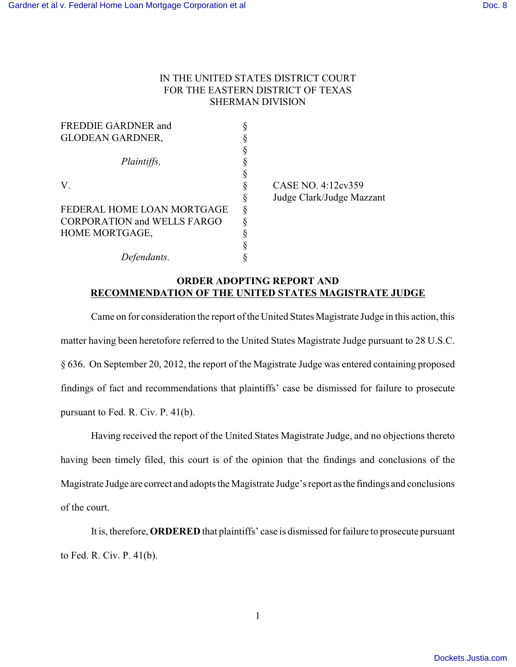## IN THE UNITED STATES DISTRICT COURT FOR THE EASTERN DISTRICT OF TEXAS SHERMAN DIVISION

| <b>FREDDIE GARDNER and</b>         |                           |
|------------------------------------|---------------------------|
| <b>GLODEAN GARDNER,</b>            |                           |
|                                    |                           |
| Plaintiffs,                        |                           |
|                                    |                           |
| V.                                 | CASE NO. 4:12cv359        |
|                                    | Judge Clark/Judge Mazzant |
| FEDERAL HOME LOAN MORTGAGE         |                           |
| <b>CORPORATION and WELLS FARGO</b> |                           |
| HOME MORTGAGE,                     |                           |
|                                    |                           |
| Defendants.                        |                           |

## **ORDER ADOPTING REPORT AND RECOMMENDATION OF THE UNITED STATES MAGISTRATE JUDGE**

Came on for consideration the report of the United States Magistrate Judge in this action, this matter having been heretofore referred to the United States Magistrate Judge pursuant to 28 U.S.C. § 636. On September 20, 2012, the report of the Magistrate Judge was entered containing proposed findings of fact and recommendations that plaintiffs' case be dismissed for failure to prosecute pursuant to Fed. R. Civ. P. 41(b).

Having received the report of the United States Magistrate Judge, and no objections thereto having been timely filed, this court is of the opinion that the findings and conclusions of the Magistrate Judge are correct and adopts the Magistrate Judge's report asthe findings and conclusions of the court.

It is, therefore, **ORDERED** that plaintiffs' case is dismissed for failure to prosecute pursuant to Fed. R. Civ. P. 41(b).